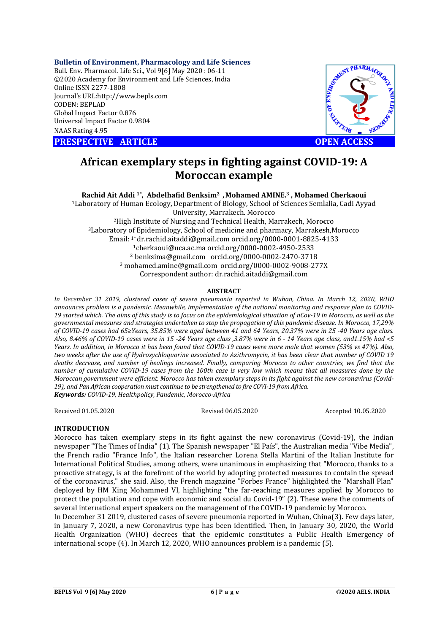## **Bulletin of Environment, Pharmacology and Life Sciences**

Bull. Env. Pharmacol. Life Sci., Vol 9[ [6] May 2020 : 06-11 ©2020 Academy for Environment and Life Sciences, India Online ISSN 2277-1808 Journal's URL:http://www.bepls.com CODEN: BEPLAD Global Impact Factor 0.876 Universal Impact Factor 0.9804 NAAS Rating 4.95

**PRESPECTIVE ARTICLE** 



# **African exemplary steps in fighting against COVID OPEN ACCESSCOVID-19: A Moroccan example**

**Rachid Ait Addi 1\*, Abdelhafid Benksim2 , Mohamed AMINE. <sup>3</sup> , Mohamed Cherkaoui**

1Laboratory of Human Ecology, Department of Biology, School of Sciences Semlalia, Cadi Ayyad Laboratory University, Marrakech. Morocco <sup>2</sup>High Institute of Nursing and Technical Health, Marrakech, Morocco  $3$ Laboratory of Epidemiology, School of medicine and pharmacy, Marrakesh,Morocco Email: <sup>1</sup>\* dr.rachid.aitaddi@gmail.com orcid.org/0000-0001-8825-4133 1cherkaoui@uca.ac.ma cherkaoui@uca.ac.ma orcid.org/0000-0002-4950-2533 <sup>2</sup> benksima@gmail.com orcid.org/0000-0002-2470-3718 <sup>3</sup> mohamed.amine@gmail.com orcid.org/0000-0002-9008-277X Correspondent author: dr.rachid.aitaddi@gmail.com Laboratory of Human Ecology, Department of Biology, School of Sciences Semlalia,<br>University, Marrakech. Morocco<br><sup>2</sup>High Institute of Nursing and Technical Health, Marrakech, Morocco<br><sup>3</sup>Laboratory of Epidemiology, School of

#### **ABSTRACT**

*In December 31 2019, clustered cases of severe pneumonia reported in Wuhan, China. In March 12, 2020, WHO*  In December 31 2019, clustered cases of severe pneumonia reported in Wuhan, China. In March 12, 2020, WHO<br>announces problem is a pandemic. Meanwhile, implementation of the national monitoring and response plan to COVID-19 started which. The aims of this study is to focus on the epidemiological situation of nCov-19 in Morocco, as well as the *governmental measures and strategies undertaken to stop the propagation of this pandemic disease . In Morocco, 17,29% of COVID-19 cases had 65≥Years, 35.85% were aged between 41 and 64 Years, 20.37% were in 25 -40 Years age class. Also, 8.46% of COVID-19 cases were in 15 19 -24 Years age class ,3.87% were in 6 - 14 Years age class, and1.15% had <5*  Years. In addition, in Morocco it has been found that COVID-19 cases were more male that women (53% vs 47%). Also, *two weeks after the use of Hydroxychloquorine associated to Azithromycin, it has been clear that number of COVID 19*  deaths decrease, and number of healings increased. Finally, comparing Morocco to other countries, we find that the *number of cumulative COVID-19 cases from the 100th case is very low which means that all measures done by the 19 Moroccan government were efficient. Morocco has taken exemplary steps in its fight against the new coronavirus (Covid 19 the means has taken new (Covid- 19), and Pan African cooperation must c continue to be strengthened to fire COVI-19 from Africa. Keywords: COVID-19, Healthpolicy, Pandemic, policy, Morocco-Africa f* of COVID-19 cases were in 15 -24 Years age class ,3.87% were in 6 - 14 Years age class, and1.15% had <5 ddition, in Morocco it has been found that COVID-19 cases were more male that women (53% vs 47%). Also, after the

Received 01.05.2020

Revised 06.05.2020

Accepted 10.05.2020

## **INTRODUCTION**

Morocco has taken exemplary steps in its fight against the new coronavirus (Covid (Covid-19), the Indian newspaper "The Times of India" ( (1). The Spanish newspaper "El País", the Australian media "Vibe Media", the French radio "France Info", the Italian researcher Lorena Stella Martini of the Italian Institute for International Political Studies, among others, were unanimous in emphasizing that "Morocco, thanks to a proactive strategy, is at the forefront of the world by adopting protected measures to contain the spread of the coronavirus," she said. Also, the French magazine "Forbes France" highlighted the "Marshall Plan" deployed by HM King Mohammed VI, highlighting "the far far-reaching measures applied by Morocco to protect the population and cope with economic and social du Covid Covid-19" (2). These were the comments of several international expert speakers on the management of the COVID-19 pandemic by Morocco. newspaper "The Times of India" (1). The Spanish newspaper "El País", the Australian media "Vibe Media",<br>the French radio "France Info", the Italian researcher Lorena Stella Martini of the Italian Institute for<br>Internationa reaching measures applied by Mc<br>Covid-19" (2). These were the com<br>ne COVID-19 pandemic by Morocco

In December 31 2019, clustered cases of severe pneumonia reported in Wuhan, China(3). Few days later, in January 7, 2020, a new Coronavirus type has been identified. Then, in January 30, 2020, the World Health Organization (WHO) decrees that the epidemic constitutes a Public Health Emergency of international scope (4). In March 12, 2020, WHO announces problem is a pandemic ( new Coronavirus type has been identified. Then, in January 30, 2020, the World<br>(WHO) decrees that the epidemic constitutes a Public Health Emergency of<br>). In March 12, 2020, WHO announces problem is a pandemic (5).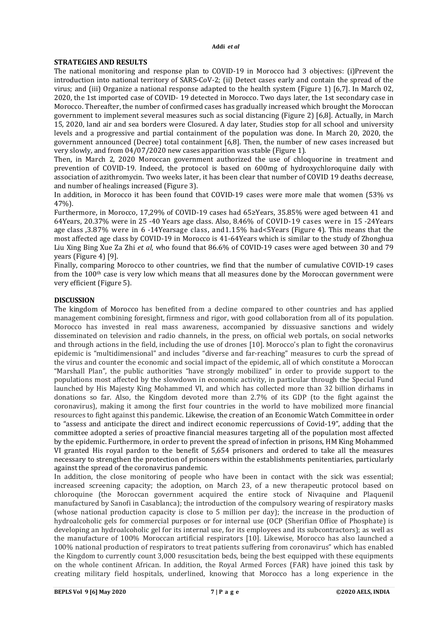# **STRATEGIES AND RESULTS**

The national monitoring and response plan to COVID-19 in Morocco had 3 objectives: (i)Prevent the introduction into national territory of SARS-CoV-2; (ii) Detect cases early and contain the spread of the virus; and (iii) Organize a national response adapted to the health system (Figure 1) [6,7]. In March 02, 2020, the 1st imported case of COVID- 19 detected in Morocco. Two days later, the 1st secondary case in Morocco. Thereafter, the number of confirmed cases has gradually increased which brought the Moroccan government to implement several measures such as social distancing (Figure 2) [6,8]. Actually, in March 15, 2020, land air and sea borders were Closured. A day later, Studies stop for all school and university levels and a progressive and partial containment of the population was done. In March 20, 2020, the government announced (Decree) total containment [6,8]. Then, the number of new cases increased but very slowly, and from 04/07/2020 new cases apparition was stable (Figure 1).

Then, in March 2, 2020 Moroccan government authorized the use of chloquorine in treatment and prevention of COVID-19. Indeed, the protocol is based on 600mg of hydroxychloroquine daily with association of azithromycin. Two weeks later, it has been clear that number of COVID 19 deaths decrease, and number of healings increased (Figure 3).

In addition, in Morocco it has been found that COVID-19 cases were more male that women (53% vs 47%).

Furthermore, in Morocco, 17,29% of COVID-19 cases had 65≥Years, 35.85% were aged between 41 and 64Years, 20.37% were in 25 -40 Years age class. Also, 8.46% of COVID-19 cases were in 15 -24Years age class ,3.87% were in 6 -14Yearsage class, and1.15% had<5Years (Figure 4). This means that the most affected age class by COVID-19 in Morocco is 41-64Years which is similar to the study of Zhonghua Liu Xing Bing Xue Za Zhi *et al*, who found that 86.6% of COVID-19 cases were aged between 30 and 79 years (Figure 4) [9].

Finally, comparing Morocco to other countries, we find that the number of cumulative COVID-19 cases from the  $100<sup>th</sup>$  case is very low which means that all measures done by the Moroccan government were very efficient (Figure 5).

# **DISCUSSION**

The kingdom of Morocco has benefited from a decline compared to other countries and has applied management combining foresight, firmness and rigor, with good collaboration from all of its population. Morocco has invested in real mass awareness, accompanied by dissuasive sanctions and widely disseminated on television and radio channels, in the press, on official web portals, on social networks and through actions in the field, including the use of drones [10]. Morocco's plan to fight the coronavirus epidemic is "multidimensional" and includes "diverse and far-reaching" measures to curb the spread of the virus and counter the economic and social impact of the epidemic, all of which constitute a Moroccan "Marshall Plan", the public authorities "have strongly mobilized" in order to provide support to the populations most affected by the slowdown in economic activity, in particular through the Special Fund launched by His Majesty King Mohammed VI, and which has collected more than 32 billion dirhams in donations so far. Also, the Kingdom devoted more than 2.7% of its GDP (to the fight against the coronavirus), making it among the first four countries in the world to have mobilized more financial resources to fight against this pandemic. Likewise, the creation of an Economic Watch Committee in order to "assess and anticipate the direct and indirect economic repercussions of Covid-19", adding that the committee adopted a series of proactive financial measures targeting all of the population most affected by the epidemic. Furthermore, in order to prevent the spread of infection in prisons, HM King Mohammed VI granted His royal pardon to the benefit of 5,654 prisoners and ordered to take all the measures necessary to strengthen the protection of prisoners within the establishments penitentiaries, particularly against the spread of the coronavirus pandemic.

In addition, the close monitoring of people who have been in contact with the sick was essential; increased screening capacity; the adoption, on March 23, of a new therapeutic protocol based on chloroquine (the Moroccan government acquired the entire stock of Nivaquine and Plaquenil manufactured by Sanofi in Casablanca); the introduction of the compulsory wearing of respiratory masks (whose national production capacity is close to 5 million per day); the increase in the production of hydroalcoholic gels for commercial purposes or for internal use (OCP (Sherifian Office of Phosphate) is developing an hydroalcoholic gel for its internal use, for its employees and its subcontractors); as well as the manufacture of 100% Moroccan artificial respirators [10]. Likewise, Morocco has also launched a 100% national production of respirators to treat patients suffering from coronavirus" which has enabled the Kingdom to currently count 3,000 resuscitation beds, being the best equipped with these equipments on the whole continent African. In addition, the Royal Armed Forces (FAR) have joined this task by creating military field hospitals, underlined, knowing that Morocco has a long experience in the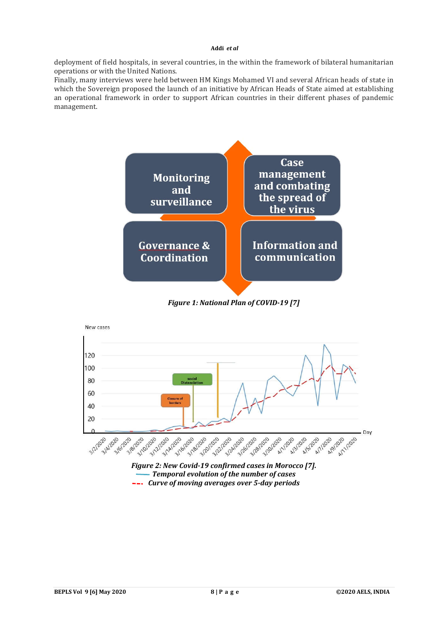#### **Addi** *et al*

deployment of field hospitals, in several countries, in the within the framework of bilateral humanitarian operations or with the United Nations.

Finally, many interviews were held between HM Kings Mohamed VI and several African heads of state in which the Sovereign proposed the launch of an initiative by African Heads of State aimed at establishing an operational framework in order to support African countries in their different phases of pandemic management.



*Figure 1: National Plan of COVID-19 [7]*



*Curve of moving averages over 5-day periods*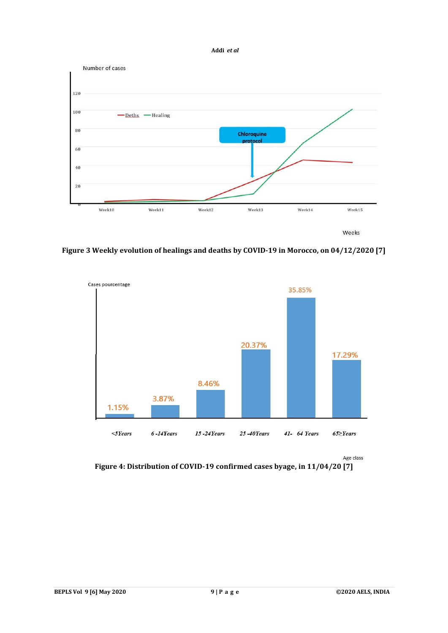



**Figure 3 Weekly evolution of healings and deaths by COVID-19 in Morocco, on 04/12/2020 [7]**



Age class

**Figure 4: Distribution of COVID-19 confirmed cases byage, in 11/04/20 [7]**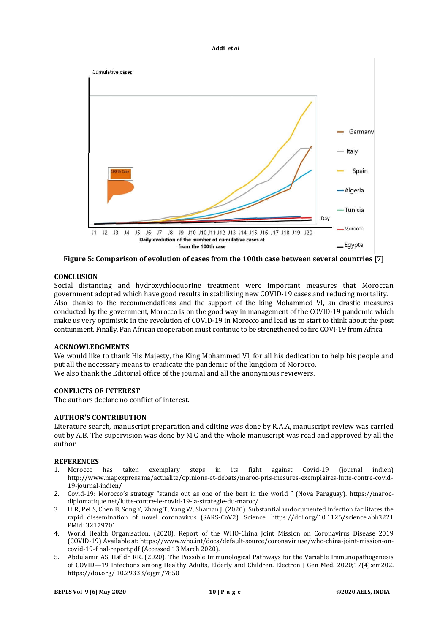#### **Addi** *et al*



**Figure 5: Comparison of evolution of cases from the 100th case between several countries [7]**

# **CONCLUSION**

Social distancing and hydroxychloquorine treatment were important measures that Moroccan government adopted which have good results in stabilizing new COVID-19 cases and reducing mortality. Also, thanks to the recommendations and the support of the king Mohammed VI, an drastic measures conducted by the government, Morocco is on the good way in management of the COVID-19 pandemic which make us very optimistic in the revolution of COVID-19 in Morocco and lead us to start to think about the post containment. Finally, Pan African cooperation must continue to be strengthened to fire COVI-19 from Africa.

## **ACKNOWLEDGMENTS**

We would like to thank His Majesty, the King Mohammed VI, for all his dedication to help his people and put all the necessary means to eradicate the pandemic of the kingdom of Morocco. We also thank the Editorial office of the journal and all the anonymous reviewers.

# **CONFLICTS OF INTEREST**

The authors declare no conflict of interest.

# **AUTHOR'S CONTRIBUTION**

Literature search, manuscript preparation and editing was done by R.A.A, manuscript review was carried out by A.B. The supervision was done by M.C and the whole manuscript was read and approved by all the author

## **REFERENCES**

- 1. Morocco has taken exemplary steps in its fight against Covid-19 (journal indien) http://www.mapexpress.ma/actualite/opinions-et-debats/maroc-pris-mesures-exemplaires-lutte-contre-covid-19-journal-indien/
- 2. Covid-19: Morocco's strategy "stands out as one of the best in the world " (Nova Paraguay). https://marocdiplomatique.net/lutte-contre-le-covid-19-la-strategie-du-maroc/
- 3. Li R, Pei S, Chen B, Song Y, Zhang T, Yang W, Shaman J. (2020). Substantial undocumented infection facilitates the rapid dissemination of novel coronavirus (SARS-CoV2). Science. https://doi.org/10.1126/science.abb3221 PMid: 32179701
- 4. World Health Organisation. (2020). Report of the WHO-China Joint Mission on Coronavirus Disease 2019 (COVID-19) Available at: https://www.who.int/docs/default-source/coronavir use/who-china-joint-mission-oncovid-19-final-report.pdf (Accessed 13 March 2020).
- 5. Abdulamir AS, Hafidh RR. (2020). The Possible Immunological Pathways for the Variable Immunopathogenesis of COVID—19 Infections among Healthy Adults, Elderly and Children. Electron J Gen Med. 2020;17(4):em202. https://doi.org/ 10.29333/ejgm/7850